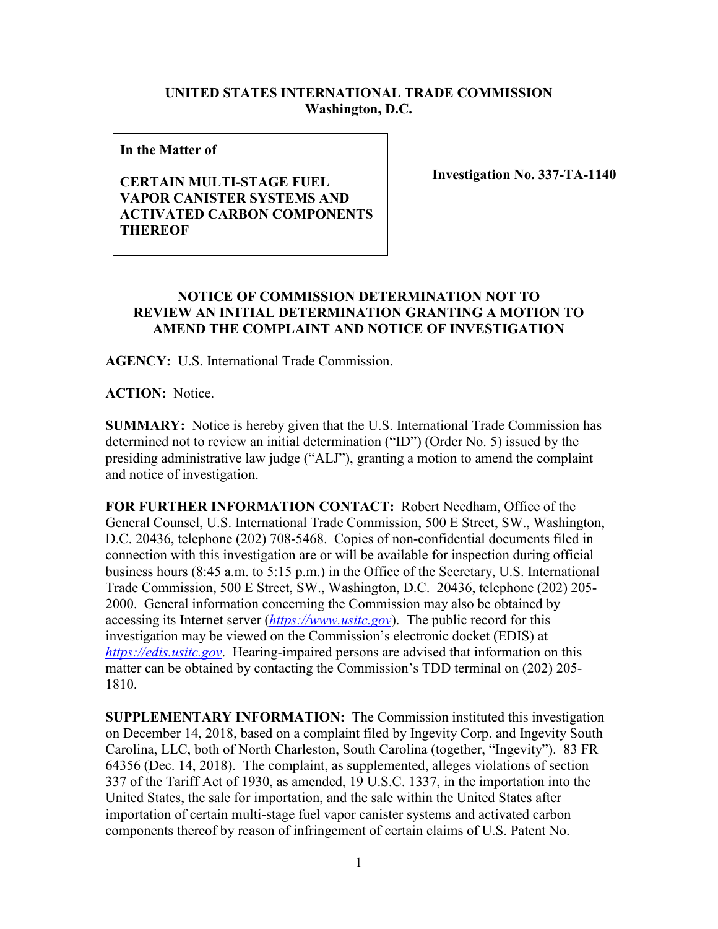## **UNITED STATES INTERNATIONAL TRADE COMMISSION Washington, D.C.**

**In the Matter of** 

## **CERTAIN MULTI-STAGE FUEL VAPOR CANISTER SYSTEMS AND ACTIVATED CARBON COMPONENTS THEREOF**

**Investigation No. 337-TA-1140**

## **NOTICE OF COMMISSION DETERMINATION NOT TO REVIEW AN INITIAL DETERMINATION GRANTING A MOTION TO AMEND THE COMPLAINT AND NOTICE OF INVESTIGATION**

**AGENCY:** U.S. International Trade Commission.

**ACTION:** Notice.

**SUMMARY:** Notice is hereby given that the U.S. International Trade Commission has determined not to review an initial determination ("ID") (Order No. 5) issued by the presiding administrative law judge ("ALJ"), granting a motion to amend the complaint and notice of investigation.

**FOR FURTHER INFORMATION CONTACT:** Robert Needham, Office of the General Counsel, U.S. International Trade Commission, 500 E Street, SW., Washington, D.C. 20436, telephone (202) 708-5468. Copies of non-confidential documents filed in connection with this investigation are or will be available for inspection during official business hours (8:45 a.m. to 5:15 p.m.) in the Office of the Secretary, U.S. International Trade Commission, 500 E Street, SW., Washington, D.C. 20436, telephone (202) 205- 2000. General information concerning the Commission may also be obtained by accessing its Internet server (*[https://www.usitc.gov](https://www.usitc.gov/)*). The public record for this investigation may be viewed on the Commission's electronic docket (EDIS) at *[https://edis.usitc.gov](https://edis.usitc.gov/)*. Hearing-impaired persons are advised that information on this matter can be obtained by contacting the Commission's TDD terminal on (202) 205- 1810.

**SUPPLEMENTARY INFORMATION:** The Commission instituted this investigation on December 14, 2018, based on a complaint filed by Ingevity Corp. and Ingevity South Carolina, LLC, both of North Charleston, South Carolina (together, "Ingevity"). 83 FR 64356 (Dec. 14, 2018). The complaint, as supplemented, alleges violations of section 337 of the Tariff Act of 1930, as amended, 19 U.S.C. 1337, in the importation into the United States, the sale for importation, and the sale within the United States after importation of certain multi-stage fuel vapor canister systems and activated carbon components thereof by reason of infringement of certain claims of U.S. Patent No.